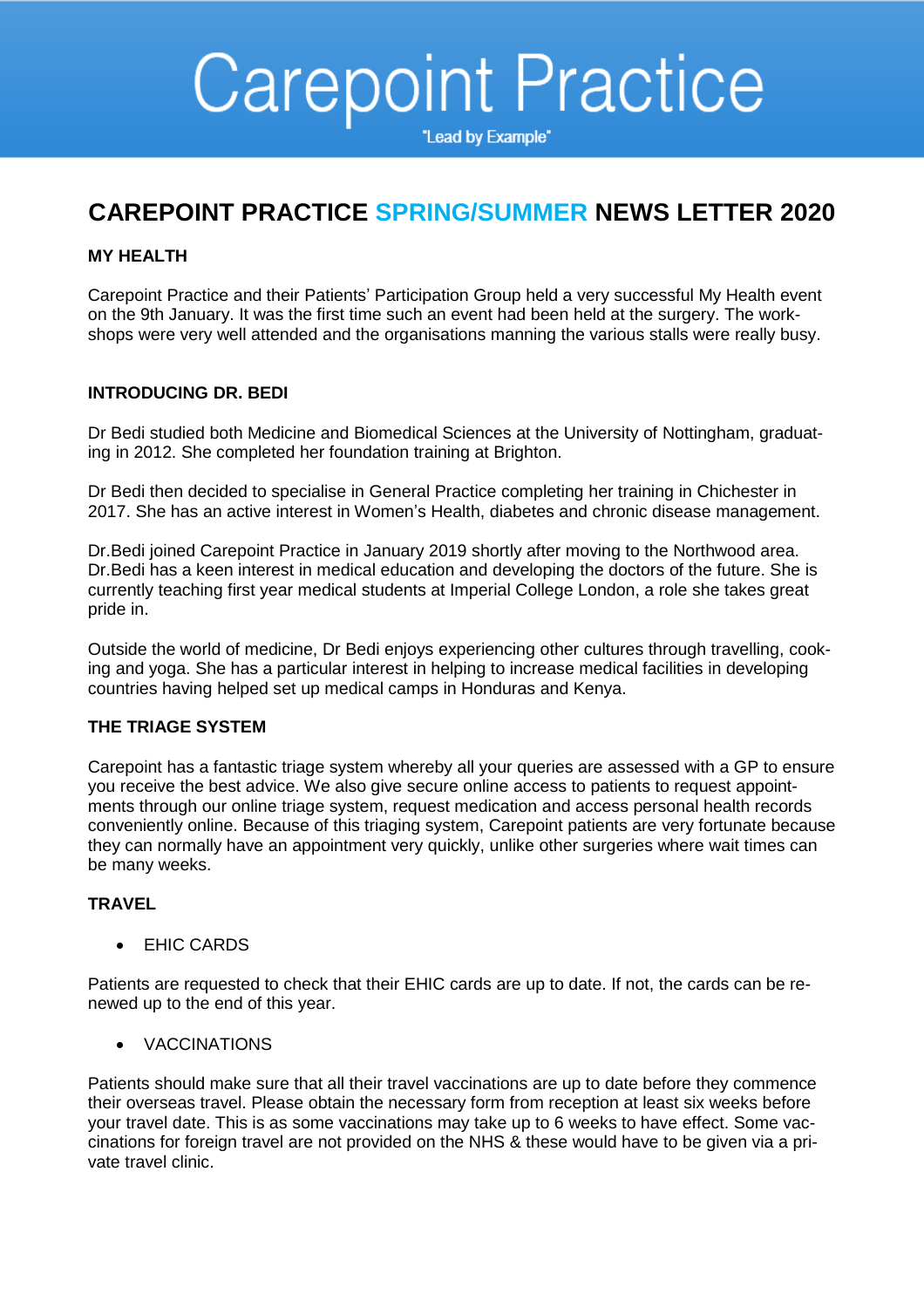# **Carepoint Practice**

"Lead by Example"

# **CAREPOINT PRACTICE SPRING/SUMMER NEWS LETTER 2020**

## **MY HEALTH**

Carepoint Practice and their Patients' Participation Group held a very successful My Health event on the 9th January. It was the first time such an event had been held at the surgery. The workshops were very well attended and the organisations manning the various stalls were really busy.

## **INTRODUCING DR. BEDI**

Dr Bedi studied both Medicine and Biomedical Sciences at the University of Nottingham, graduating in 2012. She completed her foundation training at Brighton.

Dr Bedi then decided to specialise in General Practice completing her training in Chichester in 2017. She has an active interest in Women's Health, diabetes and chronic disease management.

Dr.Bedi joined Carepoint Practice in January 2019 shortly after moving to the Northwood area. Dr.Bedi has a keen interest in medical education and developing the doctors of the future. She is currently teaching first year medical students at Imperial College London, a role she takes great pride in.

Outside the world of medicine, Dr Bedi enjoys experiencing other cultures through travelling, cooking and yoga. She has a particular interest in helping to increase medical facilities in developing countries having helped set up medical camps in Honduras and Kenya.

## **THE TRIAGE SYSTEM**

Carepoint has a fantastic triage system whereby all your queries are assessed with a GP to ensure you receive the best advice. We also give secure online access to patients to request appointments through our online triage system, request medication and access personal health records conveniently online. Because of this triaging system, Carepoint patients are very fortunate because they can normally have an appointment very quickly, unlike other surgeries where wait times can be many weeks.

## **TRAVEL**

• EHIC CARDS

Patients are requested to check that their EHIC cards are up to date. If not, the cards can be renewed up to the end of this year.

VACCINATIONS

Patients should make sure that all their travel vaccinations are up to date before they commence their overseas travel. Please obtain the necessary form from reception at least six weeks before your travel date. This is as some vaccinations may take up to 6 weeks to have effect. Some vaccinations for foreign travel are not provided on the NHS & these would have to be given via a private travel clinic.